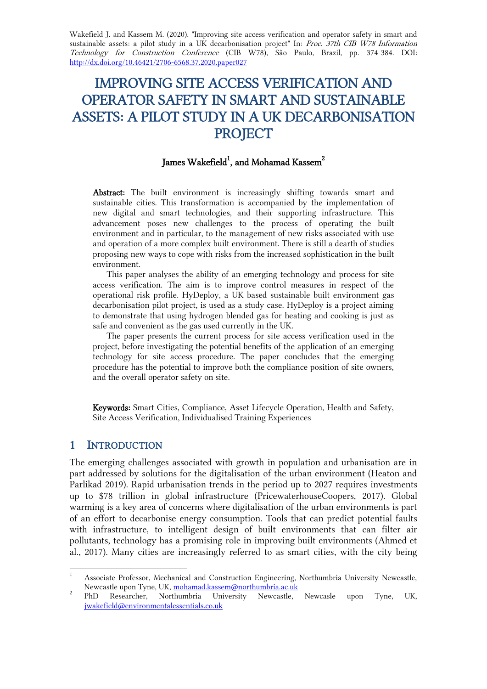Wakefield J. and Kassem M. (2020). "Improving site access verification and operator safety in smart and sustainable assets: a pilot study in a UK decarbonisation project" In: Proc. 37th CIB W78 Information Technology for Construction Conference (CIB W78), São Paulo, Brazil, pp. 374-384. DOI: http://dx.doi.org/10.46421/2706-6568.37.2020.paper027

# IMPROVING SITE ACCESS VERIFICATION AND OPERATOR SAFETY IN SMART AND SUSTAINABLE ASSETS: A PILOT STUDY IN A UK DECARBONISATION **PROJECT**

# James Wakefield $^1$ , and Mohamad Kassem $^2$

Abstract: The built environment is increasingly shifting towards smart and sustainable cities. This transformation is accompanied by the implementation of new digital and smart technologies, and their supporting infrastructure. This advancement poses new challenges to the process of operating the built environment and in particular, to the management of new risks associated with use and operation of a more complex built environment. There is still a dearth of studies proposing new ways to cope with risks from the increased sophistication in the built environment.

This paper analyses the ability of an emerging technology and process for site access verification. The aim is to improve control measures in respect of the operational risk profile. HyDeploy, a UK based sustainable built environment gas decarbonisation pilot project, is used as a study case. HyDeploy is a project aiming to demonstrate that using hydrogen blended gas for heating and cooking is just as safe and convenient as the gas used currently in the UK.

The paper presents the current process for site access verification used in the project, before investigating the potential benefits of the application of an emerging technology for site access procedure. The paper concludes that the emerging procedure has the potential to improve both the compliance position of site owners, and the overall operator safety on site.

Keywords: Smart Cities, Compliance, Asset Lifecycle Operation, Health and Safety, Site Access Verification, Individualised Training Experiences

#### 1 INTRODUCTION

1

The emerging challenges associated with growth in population and urbanisation are in part addressed by solutions for the digitalisation of the urban environment (Heaton and Parlikad 2019). Rapid urbanisation trends in the period up to 2027 requires investments up to \$78 trillion in global infrastructure (PricewaterhouseCoopers, 2017). Global warming is a key area of concerns where digitalisation of the urban environments is part of an effort to decarbonise energy consumption. Tools that can predict potential faults with infrastructure, to intelligent design of built environments that can filter air pollutants, technology has a promising role in improving built environments (Ahmed et al., 2017). Many cities are increasingly referred to as smart cities, with the city being

<sup>1</sup> Associate Professor, Mechanical and Construction Engineering, Northumbria University Newcastle, Newcastle upon Tyne, UK, [mohamad.kassem@northumbria.ac.uk](mailto:mohamad.kassem@northumbria.ac.uk) 2

PhD Researcher, Northumbria University Newcastle, Newcasle upon Tyne, UK, [jwakefield@environmentalessentials.co.uk](mailto:jwakefield@environmentalessentials.co.uk)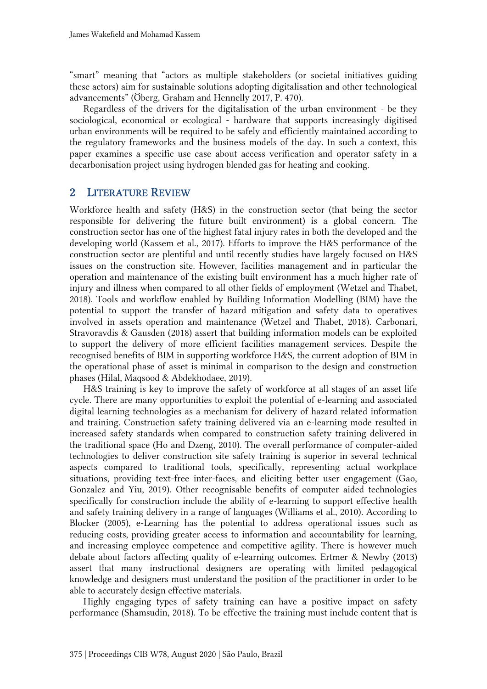"smart" meaning that "actors as multiple stakeholders (or societal initiatives guiding these actors) aim for sustainable solutions adopting digitalisation and other technological advancements" (Öberg, Graham and Hennelly 2017, P. 470).

Regardless of the drivers for the digitalisation of the urban environment - be they sociological, economical or ecological - hardware that supports increasingly digitised urban environments will be required to be safely and efficiently maintained according to the regulatory frameworks and the business models of the day. In such a context, this paper examines a specific use case about access verification and operator safety in a decarbonisation project using hydrogen blended gas for heating and cooking.

#### 2 LITERATURE REVIEW

Workforce health and safety (H&S) in the construction sector (that being the sector responsible for delivering the future built environment) is a global concern. The construction sector has one of the highest fatal injury rates in both the developed and the developing world (Kassem et al., 2017). Efforts to improve the H&S performance of the construction sector are plentiful and until recently studies have largely focused on H&S issues on the construction site. However, facilities management and in particular the operation and maintenance of the existing built environment has a much higher rate of injury and illness when compared to all other fields of employment (Wetzel and Thabet, 2018). Tools and workflow enabled by Building Information Modelling (BIM) have the potential to support the transfer of hazard mitigation and safety data to operatives involved in assets operation and maintenance (Wetzel and Thabet, 2018). Carbonari, Stravoravdis & Gausden (2018) assert that building information models can be exploited to support the delivery of more efficient facilities management services. Despite the recognised benefits of BIM in supporting workforce H&S, the current adoption of BIM in the operational phase of asset is minimal in comparison to the design and construction phases (Hilal, Maqsood & Abdekhodaee, 2019).

H&S training is key to improve the safety of workforce at all stages of an asset life cycle. There are many opportunities to exploit the potential of e-learning and associated digital learning technologies as a mechanism for delivery of hazard related information and training. Construction safety training delivered via an e-learning mode resulted in increased safety standards when compared to construction safety training delivered in the traditional space (Ho and Dzeng, 2010). The overall performance of computer-aided technologies to deliver construction site safety training is superior in several technical aspects compared to traditional tools, specifically, representing actual workplace situations, providing text-free inter-faces, and eliciting better user engagement (Gao, Gonzalez and Yiu, 2019). Other recognisable benefits of computer aided technologies specifically for construction include the ability of e-learning to support effective health and safety training delivery in a range of languages (Williams et al., 2010). According to Blocker (2005), e-Learning has the potential to address operational issues such as reducing costs, providing greater access to information and accountability for learning, and increasing employee competence and competitive agility. There is however much debate about factors affecting quality of e-learning outcomes. Ertmer & Newby (2013) assert that many instructional designers are operating with limited pedagogical knowledge and designers must understand the position of the practitioner in order to be able to accurately design effective materials.

Highly engaging types of safety training can have a positive impact on safety performance (Shamsudin, 2018). To be effective the training must include content that is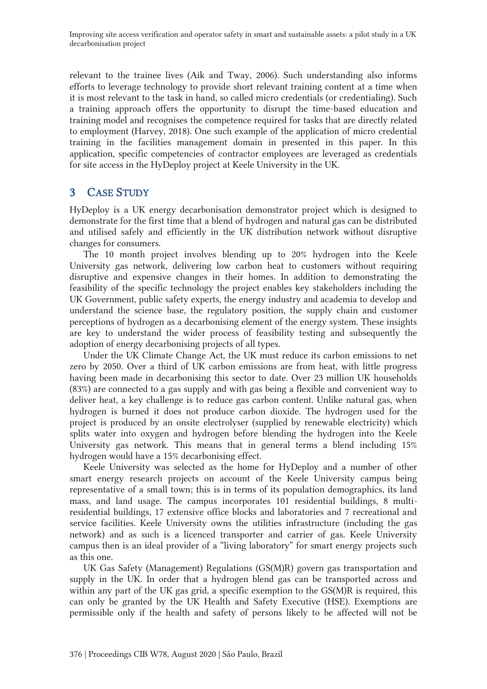relevant to the trainee lives (Aik and Tway, 2006). Such understanding also informs efforts to leverage technology to provide short relevant training content at a time when it is most relevant to the task in hand, so called micro credentials (or credentialing). Such a training approach offers the opportunity to disrupt the time-based education and training model and recognises the competence required for tasks that are directly related to employment (Harvey, 2018). One such example of the application of micro credential training in the facilities management domain in presented in this paper. In this application, specific competencies of contractor employees are leveraged as credentials for site access in the HyDeploy project at Keele University in the UK.

# 3 CASE STUDY

HyDeploy is a UK energy decarbonisation demonstrator project which is designed to demonstrate for the first time that a blend of hydrogen and natural gas can be distributed and utilised safely and efficiently in the UK distribution network without disruptive changes for consumers.

The 10 month project involves blending up to 20% hydrogen into the Keele University gas network, delivering low carbon heat to customers without requiring disruptive and expensive changes in their homes. In addition to demonstrating the feasibility of the specific technology the project enables key stakeholders including the UK Government, public safety experts, the energy industry and academia to develop and understand the science base, the regulatory position, the supply chain and customer perceptions of hydrogen as a decarbonising element of the energy system. These insights are key to understand the wider process of feasibility testing and subsequently the adoption of energy decarbonising projects of all types.

Under the UK Climate Change Act, the UK must reduce its carbon emissions to net zero by 2050. Over a third of UK carbon emissions are from heat, with little progress having been made in decarbonising this sector to date. Over 23 million UK households (83%) are connected to a gas supply and with gas being a flexible and convenient way to deliver heat, a key challenge is to reduce gas carbon content. Unlike natural gas, when hydrogen is burned it does not produce carbon dioxide. The hydrogen used for the project is produced by an onsite electrolyser (supplied by renewable electricity) which splits water into oxygen and hydrogen before blending the hydrogen into the Keele University gas network. This means that in general terms a blend including 15% hydrogen would have a 15% decarbonising effect.

Keele University was selected as the home for HyDeploy and a number of other smart energy research projects on account of the Keele University campus being representative of a small town; this is in terms of its population demographics, its land mass, and land usage. The campus incorporates 101 residential buildings, 8 multiresidential buildings, 17 extensive office blocks and laboratories and 7 recreational and service facilities. Keele University owns the utilities infrastructure (including the gas network) and as such is a licenced transporter and carrier of gas. Keele University campus then is an ideal provider of a "living laboratory" for smart energy projects such as this one.

UK Gas Safety (Management) Regulations (GS(M)R) govern gas transportation and supply in the UK. In order that a hydrogen blend gas can be transported across and within any part of the UK gas grid, a specific exemption to the GS(M)R is required, this can only be granted by the UK Health and Safety Executive (HSE). Exemptions are permissible only if the health and safety of persons likely to be affected will not be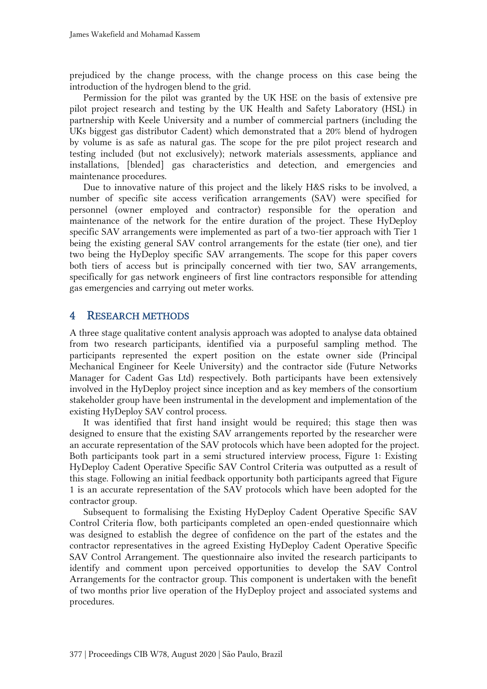prejudiced by the change process, with the change process on this case being the introduction of the hydrogen blend to the grid.

Permission for the pilot was granted by the UK HSE on the basis of extensive pre pilot project research and testing by the UK Health and Safety Laboratory (HSL) in partnership with Keele University and a number of commercial partners (including the UKs biggest gas distributor Cadent) which demonstrated that a 20% blend of hydrogen by volume is as safe as natural gas. The scope for the pre pilot project research and testing included (but not exclusively); network materials assessments, appliance and installations, [blended] gas characteristics and detection, and emergencies and maintenance procedures.

Due to innovative nature of this project and the likely H&S risks to be involved, a number of specific site access verification arrangements (SAV) were specified for personnel (owner employed and contractor) responsible for the operation and maintenance of the network for the entire duration of the project. These HyDeploy specific SAV arrangements were implemented as part of a two-tier approach with Tier 1 being the existing general SAV control arrangements for the estate (tier one), and tier two being the HyDeploy specific SAV arrangements. The scope for this paper covers both tiers of access but is principally concerned with tier two, SAV arrangements, specifically for gas network engineers of first line contractors responsible for attending gas emergencies and carrying out meter works.

#### 4 RESEARCH METHODS

A three stage qualitative content analysis approach was adopted to analyse data obtained from two research participants, identified via a purposeful sampling method. The participants represented the expert position on the estate owner side (Principal Mechanical Engineer for Keele University) and the contractor side (Future Networks Manager for Cadent Gas Ltd) respectively. Both participants have been extensively involved in the HyDeploy project since inception and as key members of the consortium stakeholder group have been instrumental in the development and implementation of the existing HyDeploy SAV control process.

It was identified that first hand insight would be required; this stage then was designed to ensure that the existing SAV arrangements reported by the researcher were an accurate representation of the SAV protocols which have been adopted for the project. Both participants took part in a semi structured interview process, Figure 1: Existing HyDeploy Cadent Operative Specific SAV Control Criteria was outputted as a result of this stage. Following an initial feedback opportunity both participants agreed that Figure 1 is an accurate representation of the SAV protocols which have been adopted for the contractor group.

Subsequent to formalising the Existing HyDeploy Cadent Operative Specific SAV Control Criteria flow, both participants completed an open-ended questionnaire which was designed to establish the degree of confidence on the part of the estates and the contractor representatives in the agreed Existing HyDeploy Cadent Operative Specific SAV Control Arrangement. The questionnaire also invited the research participants to identify and comment upon perceived opportunities to develop the SAV Control Arrangements for the contractor group. This component is undertaken with the benefit of two months prior live operation of the HyDeploy project and associated systems and procedures.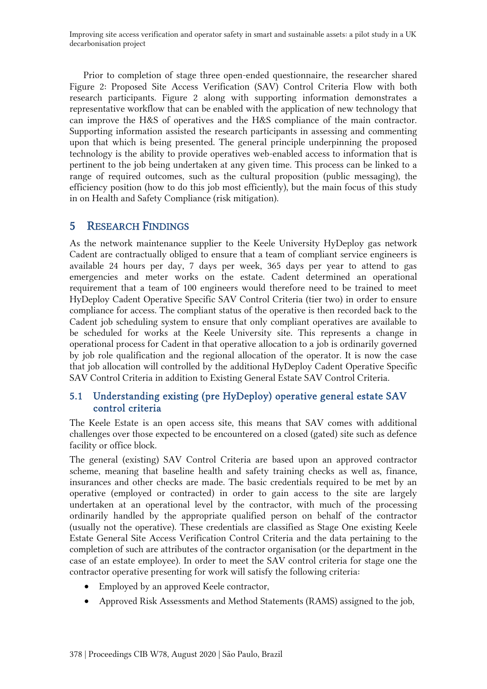Prior to completion of stage three open-ended questionnaire, the researcher shared Figure 2: Proposed Site Access Verification (SAV) Control Criteria Flow with both research participants. Figure 2 along with supporting information demonstrates a representative workflow that can be enabled with the application of new technology that can improve the H&S of operatives and the H&S compliance of the main contractor. Supporting information assisted the research participants in assessing and commenting upon that which is being presented. The general principle underpinning the proposed technology is the ability to provide operatives web-enabled access to information that is pertinent to the job being undertaken at any given time. This process can be linked to a range of required outcomes, such as the cultural proposition (public messaging), the efficiency position (how to do this job most efficiently), but the main focus of this study in on Health and Safety Compliance (risk mitigation).

## 5 RESEARCH FINDINGS

As the network maintenance supplier to the Keele University HyDeploy gas network Cadent are contractually obliged to ensure that a team of compliant service engineers is available 24 hours per day, 7 days per week, 365 days per year to attend to gas emergencies and meter works on the estate. Cadent determined an operational requirement that a team of 100 engineers would therefore need to be trained to meet HyDeploy Cadent Operative Specific SAV Control Criteria (tier two) in order to ensure compliance for access. The compliant status of the operative is then recorded back to the Cadent job scheduling system to ensure that only compliant operatives are available to be scheduled for works at the Keele University site. This represents a change in operational process for Cadent in that operative allocation to a job is ordinarily governed by job role qualification and the regional allocation of the operator. It is now the case that job allocation will controlled by the additional HyDeploy Cadent Operative Specific SAV Control Criteria in addition to Existing General Estate SAV Control Criteria.

#### 5.1 Understanding existing (pre HyDeploy) operative general estate SAV control criteria

The Keele Estate is an open access site, this means that SAV comes with additional challenges over those expected to be encountered on a closed (gated) site such as defence facility or office block.

The general (existing) SAV Control Criteria are based upon an approved contractor scheme, meaning that baseline health and safety training checks as well as, finance, insurances and other checks are made. The basic credentials required to be met by an operative (employed or contracted) in order to gain access to the site are largely undertaken at an operational level by the contractor, with much of the processing ordinarily handled by the appropriate qualified person on behalf of the contractor (usually not the operative). These credentials are classified as Stage One existing Keele Estate General Site Access Verification Control Criteria and the data pertaining to the completion of such are attributes of the contractor organisation (or the department in the case of an estate employee). In order to meet the SAV control criteria for stage one the contractor operative presenting for work will satisfy the following criteria:

- Employed by an approved Keele contractor,
- Approved Risk Assessments and Method Statements (RAMS) assigned to the job,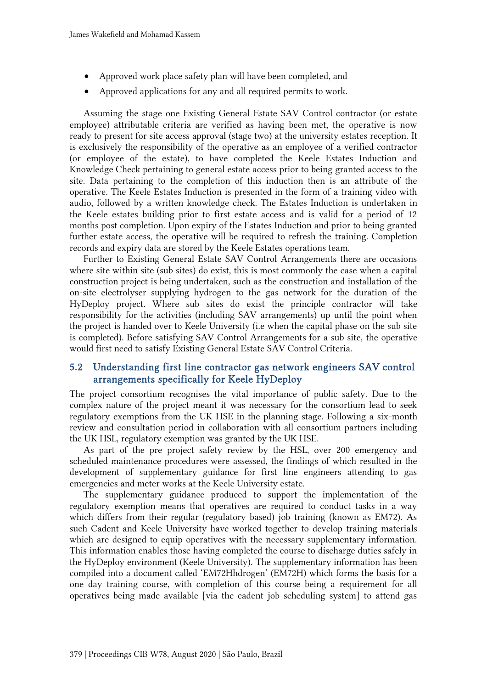- Approved work place safety plan will have been completed, and
- Approved applications for any and all required permits to work.

Assuming the stage one Existing General Estate SAV Control contractor (or estate employee) attributable criteria are verified as having been met, the operative is now ready to present for site access approval (stage two) at the university estates reception. It is exclusively the responsibility of the operative as an employee of a verified contractor (or employee of the estate), to have completed the Keele Estates Induction and Knowledge Check pertaining to general estate access prior to being granted access to the site. Data pertaining to the completion of this induction then is an attribute of the operative. The Keele Estates Induction is presented in the form of a training video with audio, followed by a written knowledge check. The Estates Induction is undertaken in the Keele estates building prior to first estate access and is valid for a period of 12 months post completion. Upon expiry of the Estates Induction and prior to being granted further estate access, the operative will be required to refresh the training. Completion records and expiry data are stored by the Keele Estates operations team.

Further to Existing General Estate SAV Control Arrangements there are occasions where site within site (sub sites) do exist, this is most commonly the case when a capital construction project is being undertaken, such as the construction and installation of the on-site electrolyser supplying hydrogen to the gas network for the duration of the HyDeploy project. Where sub sites do exist the principle contractor will take responsibility for the activities (including SAV arrangements) up until the point when the project is handed over to Keele University (i.e when the capital phase on the sub site is completed). Before satisfying SAV Control Arrangements for a sub site, the operative would first need to satisfy Existing General Estate SAV Control Criteria.

#### 5.2 Understanding first line contractor gas network engineers SAV control arrangements specifically for Keele HyDeploy

The project consortium recognises the vital importance of public safety. Due to the complex nature of the project meant it was necessary for the consortium lead to seek regulatory exemptions from the UK HSE in the planning stage. Following a six-month review and consultation period in collaboration with all consortium partners including the UK HSL, regulatory exemption was granted by the UK HSE.

As part of the pre project safety review by the HSL, over 200 emergency and scheduled maintenance procedures were assessed, the findings of which resulted in the development of supplementary guidance for first line engineers attending to gas emergencies and meter works at the Keele University estate.

The supplementary guidance produced to support the implementation of the regulatory exemption means that operatives are required to conduct tasks in a way which differs from their regular (regulatory based) job training (known as EM72). As such Cadent and Keele University have worked together to develop training materials which are designed to equip operatives with the necessary supplementary information. This information enables those having completed the course to discharge duties safely in the HyDeploy environment (Keele University). The supplementary information has been compiled into a document called 'EM72Hhdrogen' (EM72H) which forms the basis for a one day training course, with completion of this course being a requirement for all operatives being made available [via the cadent job scheduling system] to attend gas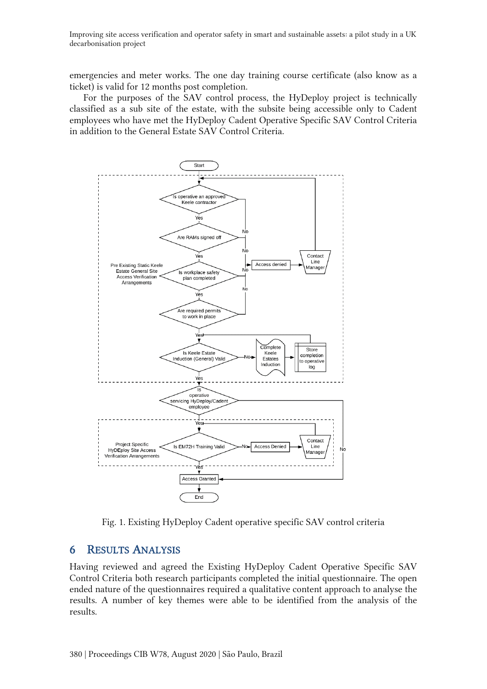emergencies and meter works. The one day training course certificate (also know as a ticket) is valid for 12 months post completion.

For the purposes of the SAV control process, the HyDeploy project is technically classified as a sub site of the estate, with the subsite being accessible only to Cadent employees who have met the HyDeploy Cadent Operative Specific SAV Control Criteria in addition to the General Estate SAV Control Criteria.



Fig. 1. Existing HyDeploy Cadent operative specific SAV control criteria

# 6 RESULTS ANALYSIS

Having reviewed and agreed the Existing HyDeploy Cadent Operative Specific SAV Control Criteria both research participants completed the initial questionnaire. The open ended nature of the questionnaires required a qualitative content approach to analyse the results. A number of key themes were able to be identified from the analysis of the results.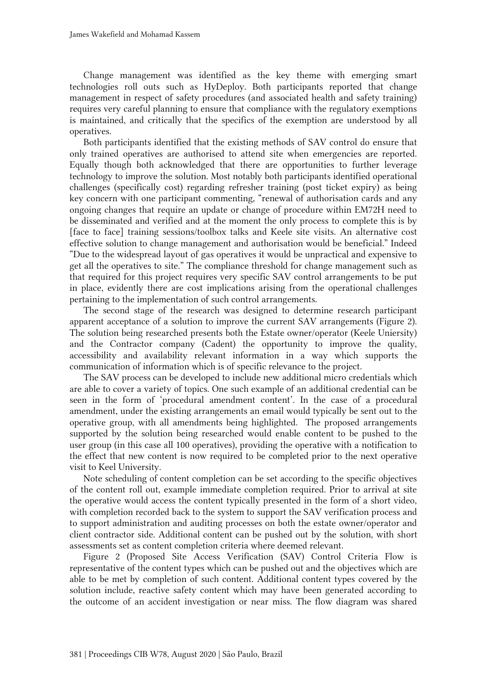Change management was identified as the key theme with emerging smart technologies roll outs such as HyDeploy. Both participants reported that change management in respect of safety procedures (and associated health and safety training) requires very careful planning to ensure that compliance with the regulatory exemptions is maintained, and critically that the specifics of the exemption are understood by all operatives.

Both participants identified that the existing methods of SAV control do ensure that only trained operatives are authorised to attend site when emergencies are reported. Equally though both acknowledged that there are opportunities to further leverage technology to improve the solution. Most notably both participants identified operational challenges (specifically cost) regarding refresher training (post ticket expiry) as being key concern with one participant commenting, "renewal of authorisation cards and any ongoing changes that require an update or change of procedure within EM72H need to be disseminated and verified and at the moment the only process to complete this is by [face to face] training sessions/toolbox talks and Keele site visits. An alternative cost effective solution to change management and authorisation would be beneficial." Indeed "Due to the widespread layout of gas operatives it would be unpractical and expensive to get all the operatives to site." The compliance threshold for change management such as that required for this project requires very specific SAV control arrangements to be put in place, evidently there are cost implications arising from the operational challenges pertaining to the implementation of such control arrangements.

The second stage of the research was designed to determine research participant apparent acceptance of a solution to improve the current SAV arrangements (Figure 2). The solution being researched presents both the Estate owner/operator (Keele Uniersity) and the Contractor company (Cadent) the opportunity to improve the quality, accessibility and availability relevant information in a way which supports the communication of information which is of specific relevance to the project.

The SAV process can be developed to include new additional micro credentials which are able to cover a variety of topics. One such example of an additional credential can be seen in the form of 'procedural amendment content'. In the case of a procedural amendment, under the existing arrangements an email would typically be sent out to the operative group, with all amendments being highlighted. The proposed arrangements supported by the solution being researched would enable content to be pushed to the user group (in this case all 100 operatives), providing the operative with a notification to the effect that new content is now required to be completed prior to the next operative visit to Keel University.

Note scheduling of content completion can be set according to the specific objectives of the content roll out, example immediate completion required. Prior to arrival at site the operative would access the content typically presented in the form of a short video, with completion recorded back to the system to support the SAV verification process and to support administration and auditing processes on both the estate owner/operator and client contractor side. Additional content can be pushed out by the solution, with short assessments set as content completion criteria where deemed relevant.

Figure 2 (Proposed Site Access Verification (SAV) Control Criteria Flow is representative of the content types which can be pushed out and the objectives which are able to be met by completion of such content. Additional content types covered by the solution include, reactive safety content which may have been generated according to the outcome of an accident investigation or near miss. The flow diagram was shared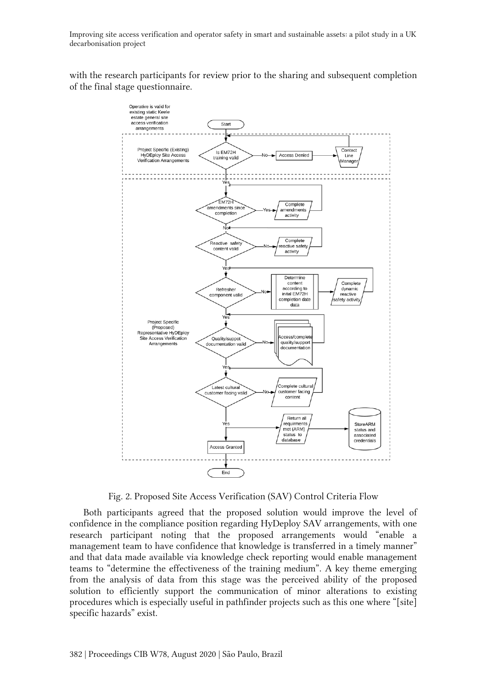with the research participants for review prior to the sharing and subsequent completion of the final stage questionnaire.



Fig. 2. Proposed Site Access Verification (SAV) Control Criteria Flow

Both participants agreed that the proposed solution would improve the level of confidence in the compliance position regarding HyDeploy SAV arrangements, with one research participant noting that the proposed arrangements would "enable a management team to have confidence that knowledge is transferred in a timely manner" and that data made available via knowledge check reporting would enable management teams to "determine the effectiveness of the training medium". A key theme emerging from the analysis of data from this stage was the perceived ability of the proposed solution to efficiently support the communication of minor alterations to existing procedures which is especially useful in pathfinder projects such as this one where "[site] specific hazards" exist.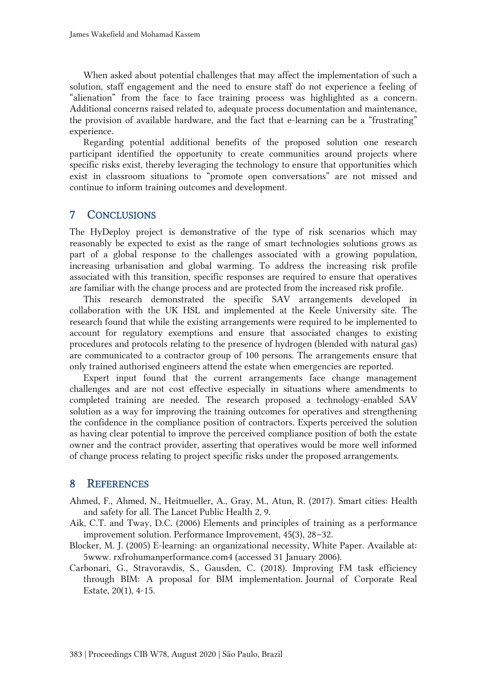When asked about potential challenges that may affect the implementation of such a solution, staff engagement and the need to ensure staff do not experience a feeling of "alienation" from the face to face training process was highlighted as a concern. Additional concerns raised related to, adequate process documentation and maintenance, the provision of available hardware, and the fact that e-learning can be a "frustrating" experience.

Regarding potential additional benefits of the proposed solution one research participant identified the opportunity to create communities around projects where specific risks exist, thereby leveraging the technology to ensure that opportunities which exist in classroom situations to "promote open conversations" are not missed and continue to inform training outcomes and development.

## 7 CONCLUSIONS

The HyDeploy project is demonstrative of the type of risk scenarios which may reasonably be expected to exist as the range of smart technologies solutions grows as part of a global response to the challenges associated with a growing population, increasing urbanisation and global warming. To address the increasing risk profile associated with this transition, specific responses are required to ensure that operatives are familiar with the change process and are protected from the increased risk profile.

This research demonstrated the specific SAV arrangements developed in collaboration with the UK HSL and implemented at the Keele University site. The research found that while the existing arrangements were required to be implemented to account for regulatory exemptions and ensure that associated changes to existing procedures and protocols relating to the presence of hydrogen (blended with natural gas) are communicated to a contractor group of 100 persons. The arrangements ensure that only trained authorised engineers attend the estate when emergencies are reported.

Expert input found that the current arrangements face change management challenges and are not cost effective especially in situations where amendments to completed training are needed. The research proposed a technology-enabled SAV solution as a way for improving the training outcomes for operatives and strengthening the confidence in the compliance position of contractors. Experts perceived the solution as having clear potential to improve the perceived compliance position of both the estate owner and the contract provider, asserting that operatives would be more well informed of change process relating to project specific risks under the proposed arrangements.

### 8 REFERENCES

- Ahmed, F., Ahmed, N., Heitmueller, A., Gray, M., Atun, R. (2017). Smart cities: Health and safety for all. The Lancet Public Health 2, 9.
- Aik, C.T. and Tway, D.C. (2006) Elements and principles of training as a performance improvement solution. Performance Improvement, 45(3), 28–32.
- Blocker, M. J. (2005) E-learning: an organizational necessity, White Paper. Available at: 5www. rxfrohumanperformance.com4 (accessed 31 January 2006).
- Carbonari, G., Stravoravdis, S., Gausden, C. (2018). Improving FM task efficiency through BIM: A proposal for BIM implementation. Journal of Corporate Real Estate, 20(1), 4-15.